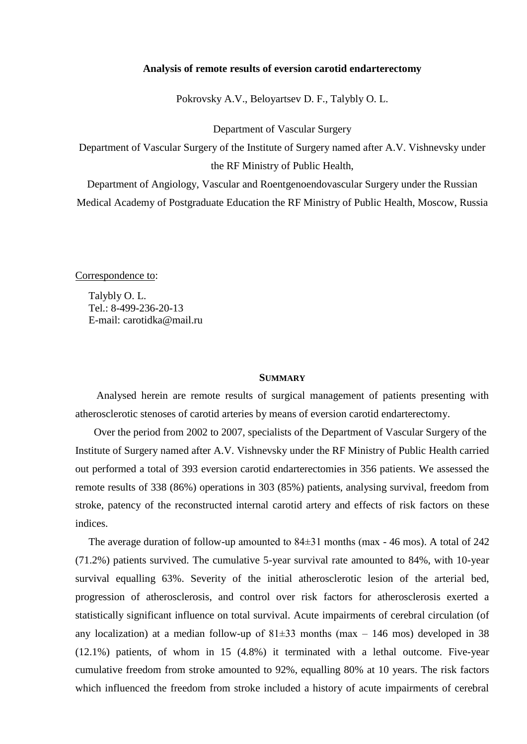### **Analysis of remote results of eversion carotid endarterectomy**

Pokrovsky A.V., Beloyartsev D. F., Talybly O. L.

Department of Vascular Surgery

Department of Vascular Surgery of the Institute of Surgery named after A.V. Vishnevsky under the RF Ministry of Public Health,

Department of Angiology, Vascular and Roentgenoendovascular Surgery under the Russian Medical Academy of Postgraduate Education the RF Ministry of Public Health, Moscow, Russia

Correspondence to:

 Talybly O. L. Tel.: 8-499-236-20-13 E-mail: carotidka@mail.ru

#### **SUMMARY**

 Analysed herein are remote results of surgical management of patients presenting with atherosclerotic stenoses of carotid arteries by means of eversion carotid endarterectomy.

 Over the period from 2002 to 2007, specialists of the Department of Vascular Surgery of the Institute of Surgery named after A.V. Vishnevsky under the RF Ministry of Public Health carried out performed a total of 393 eversion carotid endarterectomies in 356 patients. We assessed the remote results of 338 (86%) operations in 303 (85%) patients, analysing survival, freedom from stroke, patency of the reconstructed internal carotid artery and effects of risk factors on these indices.

 The average duration of follow-up amounted to 84±31 months (max - 46 mos). A total of 242 (71.2%) patients survived. The cumulative 5-year survival rate amounted to 84%, with 10-year survival equalling 63%. Severity of the initial atherosclerotic lesion of the arterial bed, progression of atherosclerosis, and control over risk factors for atherosclerosis exerted a statistically significant influence on total survival. Acute impairments of cerebral circulation (of any localization) at a median follow-up of  $81\pm33$  months (max – 146 mos) developed in 38 (12.1%) patients, of whom in 15 (4.8%) it terminated with a lethal outcome. Five-year cumulative freedom from stroke amounted to 92%, equalling 80% at 10 years. The risk factors which influenced the freedom from stroke included a history of acute impairments of cerebral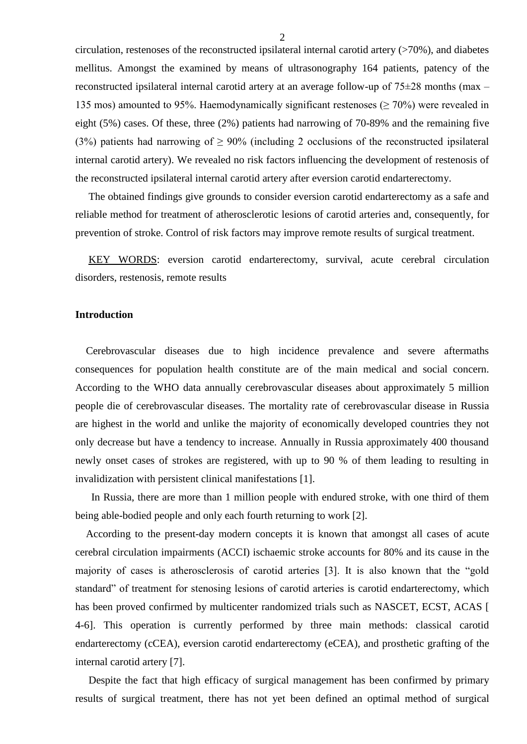circulation, restenoses of the reconstructed ipsilateral internal carotid artery  $($ >70%), and diabetes mellitus. Amongst the examined by means of ultrasonography 164 patients, patency of the reconstructed ipsilateral internal carotid artery at an average follow-up of  $75\pm28$  months (max – 135 mos) amounted to 95%. Haemodynamically significant restenoses ( $\geq$  70%) were revealed in eight (5%) cases. Of these, three (2%) patients had narrowing of 70-89% and the remaining five (3%) patients had narrowing of  $\geq$  90% (including 2 occlusions of the reconstructed ipsilateral internal carotid artery). We revealed no risk factors influencing the development of restenosis of the reconstructed ipsilateral internal carotid artery after eversion carotid endarterectomy.

 The obtained findings give grounds to consider eversion carotid endarterectomy as a safe and reliable method for treatment of atherosclerotic lesions of carotid arteries and, consequently, for prevention of stroke. Control of risk factors may improve remote results of surgical treatment.

 KEY WORDS: eversion carotid endarterectomy, survival, acute cerebral circulation disorders, restenosis, remote results

#### **Introduction**

 Cerebrovascular diseases due to high incidence prevalence and severe aftermaths consequences for population health constitute are of the main medical and social concern. According to the WHO data annually cerebrovascular diseases about approximately 5 million people die of cerebrovascular diseases. The mortality rate of cerebrovascular disease in Russia are highest in the world and unlike the majority of economically developed countries they not only decrease but have a tendency to increase. Annually in Russia approximately 400 thousand newly onset cases of strokes are registered, with up to 90 % of them leading to resulting in invalidization with persistent clinical manifestations [1].

 In Russia, there are more than 1 million people with endured stroke, with one third of them being able-bodied people and only each fourth returning to work [2].

 According to the present-day modern concepts it is known that amongst all cases of acute cerebral circulation impairments (ACCI) ischaemic stroke accounts for 80% and its cause in the majority of cases is atherosclerosis of carotid arteries [3]. It is also known that the "gold standard" of treatment for stenosing lesions of carotid arteries is carotid endarterectomy, which has been proved confirmed by multicenter randomized trials such as NASCET, ECST, ACAS [ 4-6]. This operation is currently performed by three main methods: classical carotid endarterectomy (cCEA), eversion carotid endarterectomy (eCEA), and prosthetic grafting of the internal carotid artery [7].

 Despite the fact that high efficacy of surgical management has been confirmed by primary results of surgical treatment, there has not yet been defined an optimal method of surgical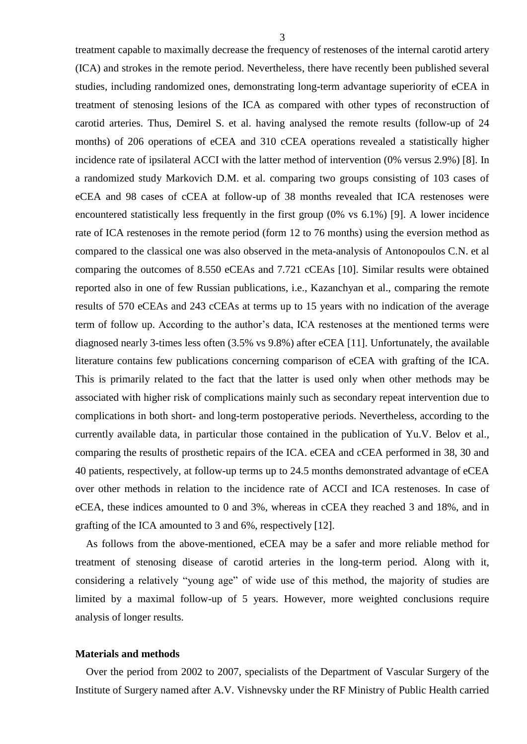treatment capable to maximally decrease the frequency of restenoses of the internal carotid artery (ICA) and strokes in the remote period. Nevertheless, there have recently been published several studies, including randomized ones, demonstrating long-term advantage superiority of eCEA in treatment of stenosing lesions of the ICA as compared with other types of reconstruction of carotid arteries. Thus, Demirel S. et al. having analysed the remote results (follow-up of 24 months) of 206 operations of eCEA and 310 cCEA operations revealed a statistically higher incidence rate of ipsilateral ACCI with the latter method of intervention (0% versus 2.9%) [8]. In a randomized study Markovich D.M. et al. comparing two groups consisting of 103 cases of eCEA and 98 cases of cCEA at follow-up of 38 months revealed that ICA restenoses were encountered statistically less frequently in the first group (0% vs 6.1%) [9]. A lower incidence rate of ICA restenoses in the remote period (form 12 to 76 months) using the eversion method as compared to the classical one was also observed in the meta-analysis of Antonopoulos C.N. et al comparing the outcomes of 8.550 eCEAs and 7.721 cCEAs [10]. Similar results were obtained reported also in one of few Russian publications, i.e., Kazanchyan et al., comparing the remote results of 570 eCEAs and 243 cCEAs at terms up to 15 years with no indication of the average term of follow up. According to the author's data, ICA restenoses at the mentioned terms were diagnosed nearly 3-times less often (3.5% vs 9.8%) after eCEA [11]. Unfortunately, the available literature contains few publications concerning comparison of eCEA with grafting of the ICA. This is primarily related to the fact that the latter is used only when other methods may be associated with higher risk of complications mainly such as secondary repeat intervention due to complications in both short- and long-term postoperative periods. Nevertheless, according to the currently available data, in particular those contained in the publication of Yu.V. Belov et al., comparing the results of prosthetic repairs of the ICA. eCEA and cCEA performed in 38, 30 and 40 patients, respectively, at follow-up terms up to 24.5 months demonstrated advantage of eCEA over other methods in relation to the incidence rate of ACCI and ICA restenoses. In case of eCEA, these indices amounted to 0 and 3%, whereas in cCEA they reached 3 and 18%, and in grafting of the ICA amounted to 3 and 6%, respectively [12].

 As follows from the above-mentioned, eCEA may be a safer and more reliable method for treatment of stenosing disease of carotid arteries in the long-term period. Along with it, considering a relatively "young age" of wide use of this method, the majority of studies are limited by a maximal follow-up of 5 years. However, more weighted conclusions require analysis of longer results.

### **Materials and methods**

 Over the period from 2002 to 2007, specialists of the Department of Vascular Surgery of the Institute of Surgery named after A.V. Vishnevsky under the RF Ministry of Public Health carried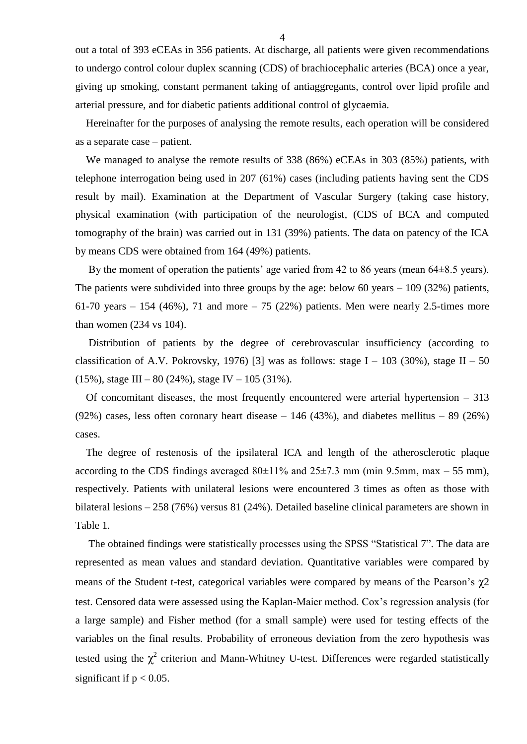out a total of 393 eCEAs in 356 patients. At discharge, all patients were given recommendations to undergo control colour duplex scanning (CDS) of brachiocephalic arteries (BCA) once a year, giving up smoking, constant permanent taking of antiaggregants, control over lipid profile and arterial pressure, and for diabetic patients additional control of glycaemia.

 Hereinafter for the purposes of analysing the remote results, each operation will be considered as a separate case – patient.

 We managed to analyse the remote results of 338 (86%) eCEAs in 303 (85%) patients, with telephone interrogation being used in 207 (61%) cases (including patients having sent the CDS result by mail). Examination at the Department of Vascular Surgery (taking case history, physical examination (with participation of the neurologist, (CDS of BCA and computed tomography of the brain) was carried out in 131 (39%) patients. The data on patency of the ICA by means CDS were obtained from 164 (49%) patients.

By the moment of operation the patients' age varied from 42 to 86 years (mean 64 $\pm$ 8.5 years). The patients were subdivided into three groups by the age: below 60 years – 109 (32%) patients, 61-70 years – 154 (46%), 71 and more – 75 (22%) patients. Men were nearly 2.5-times more than women (234 vs 104).

 Distribution of patients by the degree of cerebrovascular insufficiency (according to classification of A.V. Pokrovsky, 1976) [3] was as follows: stage I – 103 (30%), stage II – 50 (15%), stage III – 80 (24%), stage IV – 105 (31%).

 Of concomitant diseases, the most frequently encountered were arterial hypertension – 313 (92%) cases, less often coronary heart disease  $-146$  (43%), and diabetes mellitus  $-89$  (26%) cases.

 The degree of restenosis of the ipsilateral ICA and length of the atherosclerotic plaque according to the CDS findings averaged  $80\pm11\%$  and  $25\pm7.3$  mm (min 9.5mm, max – 55 mm), respectively. Patients with unilateral lesions were encountered 3 times as often as those with bilateral lesions – 258 (76%) versus 81 (24%). Detailed baseline clinical parameters are shown in Table 1.

 The obtained findings were statistically processes using the SPSS "Statistical 7". The data are represented as mean values and standard deviation. Quantitative variables were compared by means of the Student t-test, categorical variables were compared by means of the Pearson's χ2 test. Censored data were assessed using the Kaplan-Maier method. Cox's regression analysis (for a large sample) and Fisher method (for a small sample) were used for testing effects of the variables on the final results. Probability of erroneous deviation from the zero hypothesis was tested using the  $\chi^2$  criterion and Mann-Whitney U-test. Differences were regarded statistically significant if  $p < 0.05$ .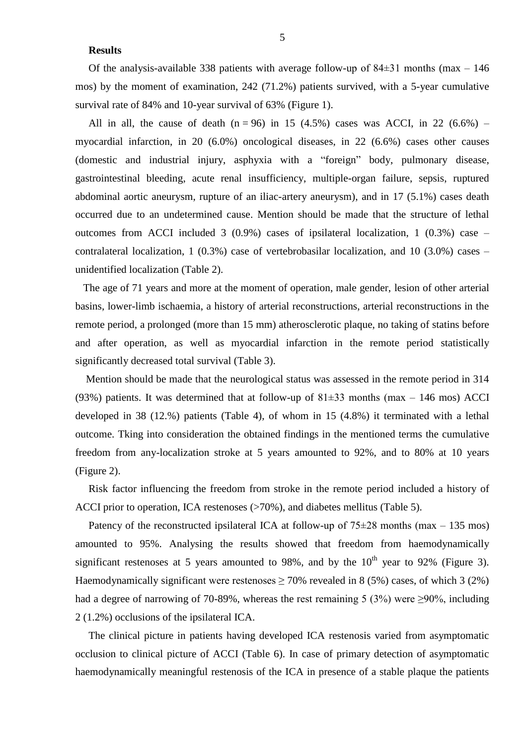### **Results**

Of the analysis-available 338 patients with average follow-up of  $84\pm31$  months (max – 146) mos) by the moment of examination, 242 (71.2%) patients survived, with a 5-year cumulative survival rate of 84% and 10-year survival of 63% (Figure 1).

All in all, the cause of death  $(n = 96)$  in 15 (4.5%) cases was ACCI, in 22 (6.6%) – myocardial infarction, in 20 (6.0%) oncological diseases, in 22 (6.6%) cases other causes (domestic and industrial injury, asphyxia with a "foreign" body, pulmonary disease, gastrointestinal bleeding, acute renal insufficiency, multiple-organ failure, sepsis, ruptured abdominal aortic aneurysm, rupture of an iliac-artery aneurysm), and in 17 (5.1%) cases death occurred due to an undetermined cause. Mention should be made that the structure of lethal outcomes from ACCI included 3  $(0.9\%)$  cases of ipsilateral localization, 1  $(0.3\%)$  case – contralateral localization, 1 (0.3%) case of vertebrobasilar localization, and 10 (3.0%) cases – unidentified localization (Table 2).

 The age of 71 years and more at the moment of operation, male gender, lesion of other arterial basins, lower-limb ischaemia, a history of arterial reconstructions, arterial reconstructions in the remote period, a prolonged (more than 15 mm) atherosclerotic plaque, no taking of statins before and after operation, as well as myocardial infarction in the remote period statistically significantly decreased total survival (Table 3).

 Mention should be made that the neurological status was assessed in the remote period in 314 (93%) patients. It was determined that at follow-up of  $81\pm33$  months (max – 146 mos) ACCI developed in 38 (12.%) patients (Table 4), of whom in 15 (4.8%) it terminated with a lethal outcome. Tking into consideration the obtained findings in the mentioned terms the cumulative freedom from any-localization stroke at 5 years amounted to 92%, and to 80% at 10 years (Figure 2).

 Risk factor influencing the freedom from stroke in the remote period included a history of ACCI prior to operation, ICA restenoses (>70%), and diabetes mellitus (Table 5).

Patency of the reconstructed ipsilateral ICA at follow-up of  $75\pm28$  months (max – 135 mos) amounted to 95%. Analysing the results showed that freedom from haemodynamically significant restenoses at 5 years amounted to 98%, and by the  $10<sup>th</sup>$  year to 92% (Figure 3). Haemodynamically significant were restenoses  $\geq$  70% revealed in 8 (5%) cases, of which 3 (2%) had a degree of narrowing of 70-89%, whereas the rest remaining 5 (3%) were  $\geq$ 90%, including 2 (1.2%) occlusions of the ipsilateral ICA.

 The clinical picture in patients having developed ICA restenosis varied from asymptomatic occlusion to clinical picture of ACCI (Table 6). In case of primary detection of asymptomatic haemodynamically meaningful restenosis of the ICA in presence of a stable plaque the patients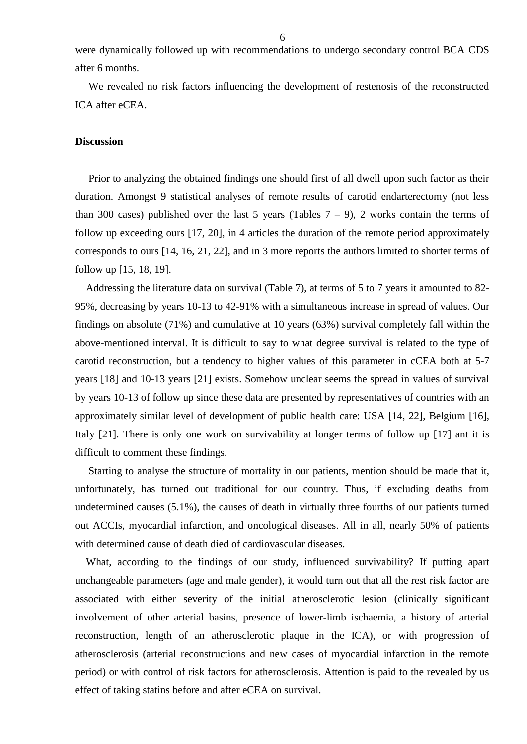were dynamically followed up with recommendations to undergo secondary control BCA CDS after 6 months.

 We revealed no risk factors influencing the development of restenosis of the reconstructed ICA after eCEA.

### **Discussion**

 Prior to analyzing the obtained findings one should first of all dwell upon such factor as their duration. Amongst 9 statistical analyses of remote results of carotid endarterectomy (not less than 300 cases) published over the last 5 years (Tables  $7 - 9$ ), 2 works contain the terms of follow up exceeding ours [17, 20], in 4 articles the duration of the remote period approximately corresponds to ours [14, 16, 21, 22], and in 3 more reports the authors limited to shorter terms of follow up [15, 18, 19].

 Addressing the literature data on survival (Table 7), at terms of 5 to 7 years it amounted to 82- 95%, decreasing by years 10-13 to 42-91% with a simultaneous increase in spread of values. Our findings on absolute (71%) and cumulative at 10 years (63%) survival completely fall within the above-mentioned interval. It is difficult to say to what degree survival is related to the type of carotid reconstruction, but a tendency to higher values of this parameter in cCEA both at 5-7 years [18] and 10-13 years [21] exists. Somehow unclear seems the spread in values of survival by years 10-13 of follow up since these data are presented by representatives of countries with an approximately similar level of development of public health care: USA [14, 22], Belgium [16], Italy [21]. There is only one work on survivability at longer terms of follow up [17] ant it is difficult to comment these findings.

 Starting to analyse the structure of mortality in our patients, mention should be made that it, unfortunately, has turned out traditional for our country. Thus, if excluding deaths from undetermined causes (5.1%), the causes of death in virtually three fourths of our patients turned out ACCIs, myocardial infarction, and oncological diseases. All in all, nearly 50% of patients with determined cause of death died of cardiovascular diseases.

 What, according to the findings of our study, influenced survivability? If putting apart unchangeable parameters (age and male gender), it would turn out that all the rest risk factor are associated with either severity of the initial atherosclerotic lesion (clinically significant involvement of other arterial basins, presence of lower-limb ischaemia, a history of arterial reconstruction, length of an atherosclerotic plaque in the ICA), or with progression of atherosclerosis (arterial reconstructions and new cases of myocardial infarction in the remote period) or with control of risk factors for atherosclerosis. Attention is paid to the revealed by us effect of taking statins before and after eCEA on survival.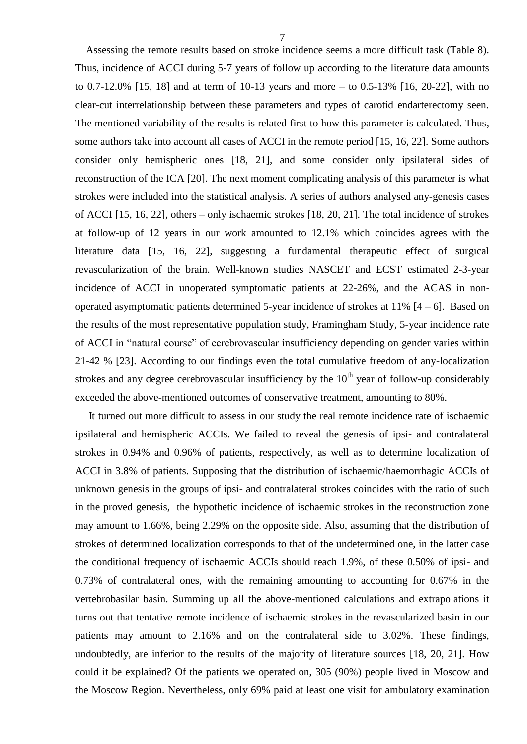Assessing the remote results based on stroke incidence seems a more difficult task (Table 8). Thus, incidence of ACCI during 5-7 years of follow up according to the literature data amounts to 0.7-12.0% [15, 18] and at term of 10-13 years and more – to 0.5-13% [16, 20-22], with no clear-cut interrelationship between these parameters and types of carotid endarterectomy seen. The mentioned variability of the results is related first to how this parameter is calculated. Thus, some authors take into account all cases of ACCI in the remote period [15, 16, 22]. Some authors consider only hemispheric ones [18, 21], and some consider only ipsilateral sides of reconstruction of the ICA [20]. The next moment complicating analysis of this parameter is what strokes were included into the statistical analysis. A series of authors analysed any-genesis cases of ACCI [15, 16, 22], others – only ischaemic strokes [18, 20, 21]. The total incidence of strokes at follow-up of 12 years in our work amounted to 12.1% which coincides agrees with the literature data [15, 16, 22], suggesting a fundamental therapeutic effect of surgical revascularization of the brain. Well-known studies NASCET and ECST estimated 2-3-year incidence of ACCI in unoperated symptomatic patients at 22-26%, and the ACAS in nonoperated asymptomatic patients determined 5-year incidence of strokes at  $11\%$  [4 – 6]. Based on the results of the most representative population study, Framingham Study, 5-year incidence rate of ACCI in "natural course" of cerebrovascular insufficiency depending on gender varies within 21-42 % [23]. According to our findings even the total cumulative freedom of any-localization strokes and any degree cerebrovascular insufficiency by the  $10<sup>th</sup>$  year of follow-up considerably exceeded the above-mentioned outcomes of conservative treatment, amounting to 80%.

 It turned out more difficult to assess in our study the real remote incidence rate of ischaemic ipsilateral and hemispheric ACCIs. We failed to reveal the genesis of ipsi- and contralateral strokes in 0.94% and 0.96% of patients, respectively, as well as to determine localization of ACCI in 3.8% of patients. Supposing that the distribution of ischaemic/haemorrhagic ACCIs of unknown genesis in the groups of ipsi- and contralateral strokes coincides with the ratio of such in the proved genesis, the hypothetic incidence of ischaemic strokes in the reconstruction zone may amount to 1.66%, being 2.29% on the opposite side. Also, assuming that the distribution of strokes of determined localization corresponds to that of the undetermined one, in the latter case the conditional frequency of ischaemic ACCIs should reach 1.9%, of these 0.50% of ipsi- and 0.73% of contralateral ones, with the remaining amounting to accounting for 0.67% in the vertebrobasilar basin. Summing up all the above-mentioned calculations and extrapolations it turns out that tentative remote incidence of ischaemic strokes in the revascularized basin in our patients may amount to 2.16% and on the contralateral side to 3.02%. These findings, undoubtedly, are inferior to the results of the majority of literature sources [18, 20, 21]. How could it be explained? Of the patients we operated on, 305 (90%) people lived in Moscow and the Moscow Region. Nevertheless, only 69% paid at least one visit for ambulatory examination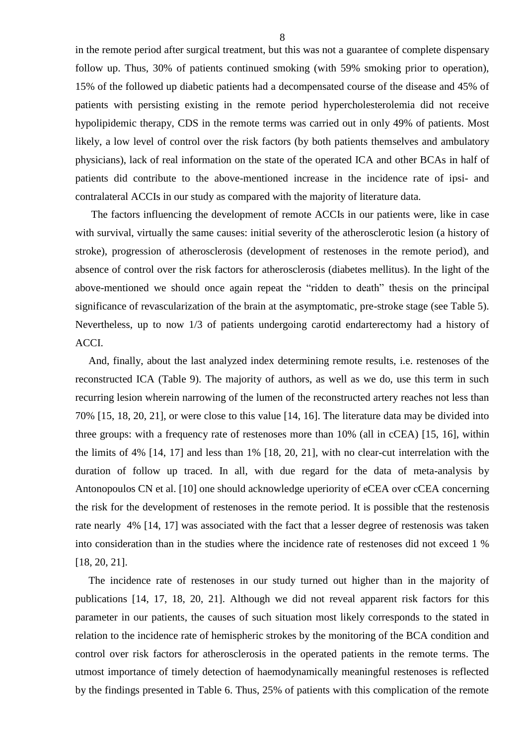in the remote period after surgical treatment, but this was not a guarantee of complete dispensary follow up. Thus, 30% of patients continued smoking (with 59% smoking prior to operation), 15% of the followed up diabetic patients had a decompensated course of the disease and 45% of patients with persisting existing in the remote period hypercholesterolemia did not receive hypolipidemic therapy, CDS in the remote terms was carried out in only 49% of patients. Most likely, a low level of control over the risk factors (by both patients themselves and ambulatory physicians), lack of real information on the state of the operated ICA and other BCAs in half of patients did contribute to the above-mentioned increase in the incidence rate of ipsi- and contralateral ACCIs in our study as compared with the majority of literature data.

 The factors influencing the development of remote ACCIs in our patients were, like in case with survival, virtually the same causes: initial severity of the atherosclerotic lesion (a history of stroke), progression of atherosclerosis (development of restenoses in the remote period), and absence of control over the risk factors for atherosclerosis (diabetes mellitus). In the light of the above-mentioned we should once again repeat the "ridden to death" thesis on the principal significance of revascularization of the brain at the asymptomatic, pre-stroke stage (see Table 5). Nevertheless, up to now 1/3 of patients undergoing carotid endarterectomy had a history of ACCI.

 And, finally, about the last analyzed index determining remote results, i.e. restenoses of the reconstructed ICA (Table 9). The majority of authors, as well as we do, use this term in such recurring lesion wherein narrowing of the lumen of the reconstructed artery reaches not less than 70% [15, 18, 20, 21], or were close to this value [14, 16]. The literature data may be divided into three groups: with a frequency rate of restenoses more than 10% (all in cCEA) [15, 16], within the limits of 4% [14, 17] and less than 1% [18, 20, 21], with no clear-cut interrelation with the duration of follow up traced. In all, with due regard for the data of meta-analysis by Antonopoulos CN et al. [10] one should acknowledge uperiority of eCEA over cCEA concerning the risk for the development of restenoses in the remote period. It is possible that the restenosis rate nearly 4% [14, 17] was associated with the fact that a lesser degree of restenosis was taken into consideration than in the studies where the incidence rate of restenoses did not exceed 1 % [18, 20, 21].

 The incidence rate of restenoses in our study turned out higher than in the majority of publications [14, 17, 18, 20, 21]. Although we did not reveal apparent risk factors for this parameter in our patients, the causes of such situation most likely corresponds to the stated in relation to the incidence rate of hemispheric strokes by the monitoring of the BCA condition and control over risk factors for atherosclerosis in the operated patients in the remote terms. The utmost importance of timely detection of haemodynamically meaningful restenoses is reflected by the findings presented in Table 6. Thus, 25% of patients with this complication of the remote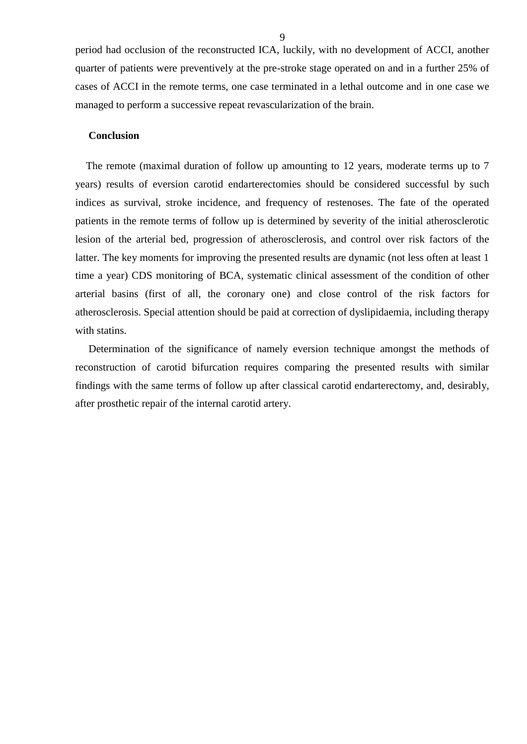period had occlusion of the reconstructed ICA, luckily, with no development of ACCI, another quarter of patients were preventively at the pre-stroke stage operated on and in a further 25% of cases of ACCI in the remote terms, one case terminated in a lethal outcome and in one case we managed to perform a successive repeat revascularization of the brain.

#### **Conclusion**

 The remote (maximal duration of follow up amounting to 12 years, moderate terms up to 7 years) results of eversion carotid endarterectomies should be considered successful by such indices as survival, stroke incidence, and frequency of restenoses. The fate of the operated patients in the remote terms of follow up is determined by severity of the initial atherosclerotic lesion of the arterial bed, progression of atherosclerosis, and control over risk factors of the latter. The key moments for improving the presented results are dynamic (not less often at least 1 time a year) CDS monitoring of BCA, systematic clinical assessment of the condition of other arterial basins (first of all, the coronary one) and close control of the risk factors for atherosclerosis. Special attention should be paid at correction of dyslipidaemia, including therapy with statins.

 Determination of the significance of namely eversion technique amongst the methods of reconstruction of carotid bifurcation requires comparing the presented results with similar findings with the same terms of follow up after classical carotid endarterectomy, and, desirably, after prosthetic repair of the internal carotid artery.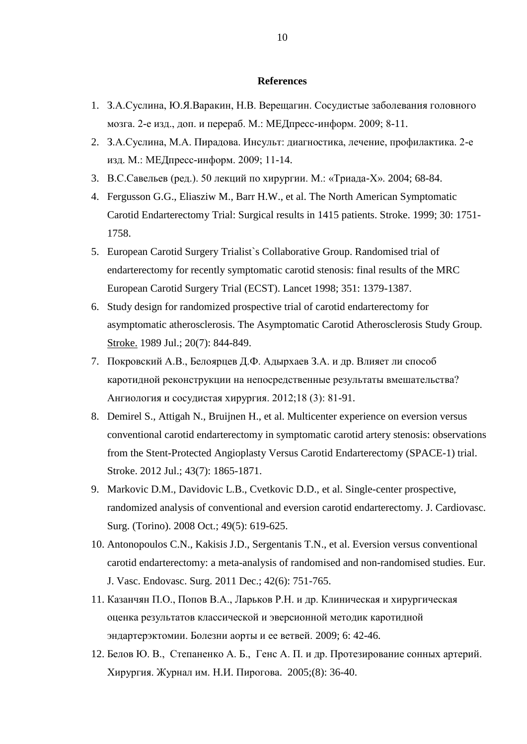### **References**

- 1. З.А.Суслина, Ю.Я.Варакин, Н.В. Верещагин. Сосудистые заболевания головного мозга. 2-е изд., доп. и перераб. М.: МЕДпресс-информ. 2009; 8-11.
- 2. З.А.Суслина, М.А. Пирадова. Инсульт: диагностика, лечение, профилактика. 2-е изд. М.: МЕДпресс-информ. 2009; 11-14.
- 3. В.С.Савельев (ред.). 50 лекций по хирургии. М.: «Триада-Х». 2004; 68-84.
- 4. Fergusson G.G., Eliasziw M., Barr H.W., et al. The North American Symptomatic Carotid Endarterectomy Trial: Surgical results in 1415 patients. Stroke. 1999; 30: 1751- 1758.
- 5. European Carotid Surgery Trialist`s Collaborative Group. Randomised trial of endarterectomy for recently symptomatic carotid stenosis: final results of the MRC European Carotid Surgery Trial (ECST). Lancet 1998; 351: 1379-1387.
- 6. Study design for randomized prospective trial of carotid endarterectomy for asymptomatic atherosclerosis. The Asymptomatic Carotid Atherosclerosis Study Group. [Stroke.](http://www.ncbi.nlm.nih.gov/pubmed/2665205) 1989 Jul.; 20(7): 844-849.
- 7. Покровский А.В., Белоярцев Д.Ф. Адырхаев З.А. и др. Влияет ли способ каротидной реконструкции на непосредственные результаты вмешательства? Ангиология и сосудистая хирургия. 2012;18 (3): 81-91.
- 8. [Demirel S.](http://www.ncbi.nlm.nih.gov/pubmed?term=Demirel%20S%5BAuthor%5D&cauthor=true&cauthor_uid=22496334), [Attigah N.](http://www.ncbi.nlm.nih.gov/pubmed?term=Attigah%20N%5BAuthor%5D&cauthor=true&cauthor_uid=22496334), [Bruijnen H.](http://www.ncbi.nlm.nih.gov/pubmed?term=Bruijnen%20H%5BAuthor%5D&cauthor=true&cauthor_uid=22496334), et al. Multicenter experience on eversion versus conventional carotid endarterectomy in symptomatic carotid artery stenosis: observations from the Stent-Protected Angioplasty Versus Carotid Endarterectomy (SPACE-1) trial. [Stroke.](http://www.ncbi.nlm.nih.gov/pubmed/?term=Multicenter+Experience+on+Eversion+Versus+Conventional+Carotid+Endarterectomy+in+Symptomatic+Carotid+Artery+Stenosis) 2012 Jul.; 43(7): 1865-1871.
- 9. [Markovic D.M.](http://www.ncbi.nlm.nih.gov/pubmed?term=Markovic%20DM%5BAuthor%5D&cauthor=true&cauthor_uid=18670379), [Davidovic L.B.](http://www.ncbi.nlm.nih.gov/pubmed?term=Davidovic%20LB%5BAuthor%5D&cauthor=true&cauthor_uid=18670379), [Cvetkovic D.D.](http://www.ncbi.nlm.nih.gov/pubmed?term=Cvetkovic%20DD%5BAuthor%5D&cauthor=true&cauthor_uid=18670379), et al. Single-center prospective, randomized analysis of conventional and eversion carotid endarterectomy. [J. Cardiovasc.](http://www.ncbi.nlm.nih.gov/pubmed/18670379)  [Surg. \(Torino\).](http://www.ncbi.nlm.nih.gov/pubmed/18670379) 2008 Oct.; 49(5): 619-625.
- 10. [Antonopoulos C.N.](http://www.ncbi.nlm.nih.gov/pubmed?term=Antonopoulos%20CN%5BAuthor%5D&cauthor=true&cauthor_uid=21903425), [Kakisis J.D.](http://www.ncbi.nlm.nih.gov/pubmed?term=Kakisis%20JD%5BAuthor%5D&cauthor=true&cauthor_uid=21903425), [Sergentanis T.N.](http://www.ncbi.nlm.nih.gov/pubmed?term=Sergentanis%20TN%5BAuthor%5D&cauthor=true&cauthor_uid=21903425), et al. Eversion versus conventional carotid endarterectomy: a meta-analysis of randomised and non-randomised studies. [Eur.](http://www.ncbi.nlm.nih.gov/pubmed/?term=Eversion+versus+Conventional+Carotid+Endarterectomy%3A+A+Meta-analysis+of+Randomised+and+Non-randomised+Studies)  [J. Vasc. Endovasc. Surg.](http://www.ncbi.nlm.nih.gov/pubmed/?term=Eversion+versus+Conventional+Carotid+Endarterectomy%3A+A+Meta-analysis+of+Randomised+and+Non-randomised+Studies) 2011 Dec.; 42(6): 751-765.
- 11. Казанчян П.О., Попов В.А., Ларьков Р.Н. и др. Клиническая и хирургическая оценка результатов классической и эверсионной методик каротидной эндартерэктомии. Болезни аорты и ее ветвей. 2009; 6: 42-46.
- 12. Белов Ю. В., Степаненко A. Б., Генс A. П. и др. Протезирование сонных артерий. Хирургия. Журнал им. Н.И. Пирогова. 2005;(8): 36-40.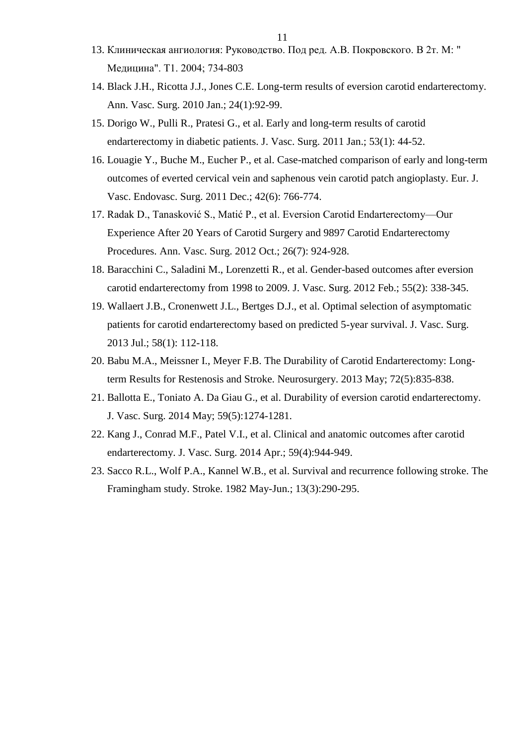- 13. Клиническая ангиология: Руководство. Под ред. А.В. Покровского. В 2т. М: " Медицина". Т1. 2004; 734-803
- 14. Black J.H., Ricotta J.J., Jones C.E. Long-term results of eversion carotid endarterectomy. [Ann. Vasc. Surg.](http://www.ncbi.nlm.nih.gov/pubmed/19734006) 2010 Jan.; 24(1):92-99.
- 15. [Dorigo W.](http://www.ncbi.nlm.nih.gov/pubmed?term=Dorigo%20W%5BAuthor%5D&cauthor=true&cauthor_uid=21050697), [Pulli R.](http://www.ncbi.nlm.nih.gov/pubmed?term=Pulli%20R%5BAuthor%5D&cauthor=true&cauthor_uid=21050697), [Pratesi G.](http://www.ncbi.nlm.nih.gov/pubmed?term=Pratesi%20G%5BAuthor%5D&cauthor=true&cauthor_uid=21050697), et al. Early and long-term results of carotid endarterectomy in diabetic patients. J. [Vasc.](http://www.ncbi.nlm.nih.gov/pubmed/?term=Early+and+long-term+results+of+carotid+endarterectomy+in+diabetic+patients) Surg. 2011 Jan.; 53(1): 44-52.
- 16. [Louagie Y.](http://www.ncbi.nlm.nih.gov/pubmed?term=Louagie%20Y%5BAuthor%5D&cauthor=true&cauthor_uid=21945512), [Buche M.](http://www.ncbi.nlm.nih.gov/pubmed?term=Buche%20M%5BAuthor%5D&cauthor=true&cauthor_uid=21945512), [Eucher P.](http://www.ncbi.nlm.nih.gov/pubmed?term=Eucher%20P%5BAuthor%5D&cauthor=true&cauthor_uid=21945512), et al. Case-matched comparison of early and long-term outcomes of everted cervical vein and saphenous vein carotid patch angioplasty. [Eur. J.](http://www.ncbi.nlm.nih.gov/pubmed/?term=14.%09Case-matched+Comparison+of+Early+and+Long-term+Outcomes+of+Everted+Cervical+Vein+and+Saphenous+Vein+Carotid+Patch+Angioplasty)  [Vasc. Endovasc. Surg.](http://www.ncbi.nlm.nih.gov/pubmed/?term=14.%09Case-matched+Comparison+of+Early+and+Long-term+Outcomes+of+Everted+Cervical+Vein+and+Saphenous+Vein+Carotid+Patch+Angioplasty) 2011 Dec.; 42(6): 766-774.
- 17. Radak D., Tanasković S., Matić P., et al. Eversion Carotid Endarterectomy—Our Experience After 20 Years of Carotid Surgery and 9897 Carotid Endarterectomy Procedures. Ann. Vasc. Surg. 2012 Oct.; 26(7): 924-928.
- 18. [Baracchini C.](http://www.ncbi.nlm.nih.gov/pubmed?term=Baracchini%20C%5BAuthor%5D&cauthor=true&cauthor_uid=22104344), [Saladini M.](http://www.ncbi.nlm.nih.gov/pubmed?term=Saladini%20M%5BAuthor%5D&cauthor=true&cauthor_uid=22104344), [Lorenzetti R.](http://www.ncbi.nlm.nih.gov/pubmed?term=Lorenzetti%20R%5BAuthor%5D&cauthor=true&cauthor_uid=22104344), et al. Gender-based outcomes after eversion carotid endarterectomy from 1998 to 2009. [J. Vasc. Surg.](http://www.ncbi.nlm.nih.gov/pubmed/?term=Gender-based+outcomes+after+eversion+carotid+endarterectomy+from+1998+to+2009) 2012 Feb.; 55(2): 338-345.
- 19. [Wallaert J.B.](http://www.ncbi.nlm.nih.gov/pubmed?term=Wallaert%20JB%5BAuthor%5D&cauthor=true&cauthor_uid=23478502), [Cronenwett J.L.](http://www.ncbi.nlm.nih.gov/pubmed?term=Cronenwett%20JL%5BAuthor%5D&cauthor=true&cauthor_uid=23478502), [Bertges D.J.](http://www.ncbi.nlm.nih.gov/pubmed?term=Bertges%20DJ%5BAuthor%5D&cauthor=true&cauthor_uid=23478502), et al. Optimal selection of asymptomatic patients for carotid endarterectomy based on predicted 5-year survival. [J. Vasc. Surg.](http://www.ncbi.nlm.nih.gov/pubmed/?term=Optimal+selection+of+asymptomatic+patients+for+carotid+endarterectomy+based+on+predicted+5-year+survival) 2013 Jul.; 58(1): 112-118.
- 20. [Babu M.A.](http://www.ncbi.nlm.nih.gov/pubmed?term=Babu%20MA%5BAuthor%5D&cauthor=true&cauthor_uid=23449367), [Meissner I.](http://www.ncbi.nlm.nih.gov/pubmed?term=Meissner%20I%5BAuthor%5D&cauthor=true&cauthor_uid=23449367), [Meyer F.B.](http://www.ncbi.nlm.nih.gov/pubmed?term=Meyer%20FB%5BAuthor%5D&cauthor=true&cauthor_uid=23449367) The Durability of Carotid Endarterectomy: Longterm Results for Restenosis and Stroke. [Neurosurgery.](http://www.ncbi.nlm.nih.gov/pubmed/23449367) 2013 May; 72(5):835-838.
- 21. [Ballotta E.](http://www.ncbi.nlm.nih.gov/pubmed?term=Ballotta%20E%5BAuthor%5D&cauthor=true&cauthor_uid=24423475), [Toniato A.](http://www.ncbi.nlm.nih.gov/pubmed?term=Toniato%20A%5BAuthor%5D&cauthor=true&cauthor_uid=24423475) [Da Giau G.](http://www.ncbi.nlm.nih.gov/pubmed?term=Da%20Giau%20G%5BAuthor%5D&cauthor=true&cauthor_uid=24423475), et al. Durability of eversion carotid endarterectomy. J. [Vasc.](http://www.ncbi.nlm.nih.gov/pubmed/24423475) Surg. 2014 May; 59(5):1274-1281.
- 22. [Kang J.](http://www.ncbi.nlm.nih.gov/pubmed?term=Kang%20J%5BAuthor%5D&cauthor=true&cauthor_uid=24661892), [Conrad M.F.](http://www.ncbi.nlm.nih.gov/pubmed?term=Conrad%20MF%5BAuthor%5D&cauthor=true&cauthor_uid=24661892), [Patel V.I.](http://www.ncbi.nlm.nih.gov/pubmed?term=Patel%20VI%5BAuthor%5D&cauthor=true&cauthor_uid=24661892), et al. Clinical and anatomic outcomes after carotid endarterectomy. [J. Vasc. Surg.](http://www.ncbi.nlm.nih.gov/pubmed/24661892) 2014 Apr.; 59(4):944-949.
- 23. [Sacco R.L.](http://www.ncbi.nlm.nih.gov/pubmed?term=Sacco%20RL%5BAuthor%5D&cauthor=true&cauthor_uid=7080120), [Wolf P.A.](http://www.ncbi.nlm.nih.gov/pubmed?term=Wolf%20PA%5BAuthor%5D&cauthor=true&cauthor_uid=7080120), [Kannel W.B.](http://www.ncbi.nlm.nih.gov/pubmed?term=Kannel%20WB%5BAuthor%5D&cauthor=true&cauthor_uid=7080120), et al. Survival and recurrence following stroke. The Framingham study. [Stroke.](http://www.ncbi.nlm.nih.gov/pubmed/7080120) 1982 May-Jun.; 13(3):290-295.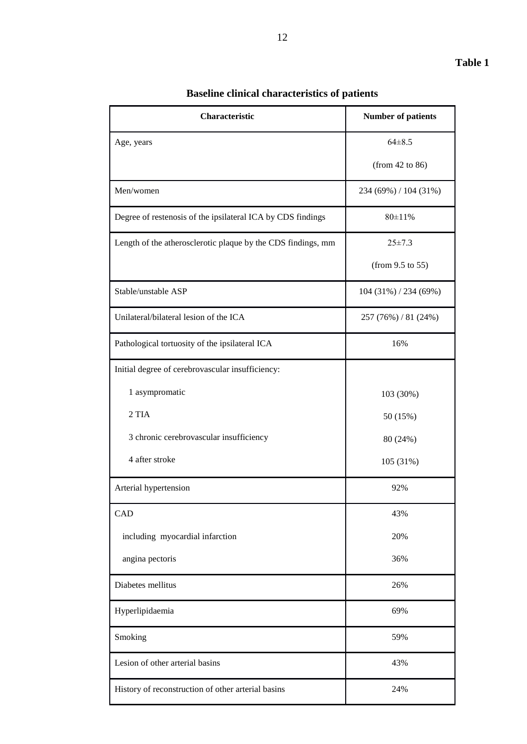| Characteristic                                               | <b>Number of patients</b> |
|--------------------------------------------------------------|---------------------------|
| Age, years                                                   | $64 \pm 8.5$              |
|                                                              | (from 42 to 86)           |
| Men/women                                                    | 234 (69%) / 104 (31%)     |
| Degree of restenosis of the ipsilateral ICA by CDS findings  | 80±11%                    |
| Length of the atherosclerotic plaque by the CDS findings, mm | $25 \pm 7.3$              |
|                                                              | (from 9.5 to 55)          |
| Stable/unstable ASP                                          | $104(31\%)/234(69\%)$     |
| Unilateral/bilateral lesion of the ICA                       | 257 (76%) / 81 (24%)      |
| Pathological tortuosity of the ipsilateral ICA               | 16%                       |
| Initial degree of cerebrovascular insufficiency:             |                           |
| 1 asympromatic                                               | 103 (30%)                 |
| 2 TIA                                                        | 50 (15%)                  |
| 3 chronic cerebrovascular insufficiency                      | 80 (24%)                  |
| 4 after stroke                                               | 105 (31%)                 |
| Arterial hypertension                                        | 92%                       |
| CAD                                                          | 43%                       |
| including myocardial infarction                              | 20%                       |
| angina pectoris                                              | 36%                       |
| Diabetes mellitus                                            | 26%                       |
| Hyperlipidaemia                                              | 69%                       |
| Smoking                                                      | 59%                       |
| Lesion of other arterial basins                              | 43%                       |
| History of reconstruction of other arterial basins           | 24%                       |

## **Baseline clinical characteristics of patients**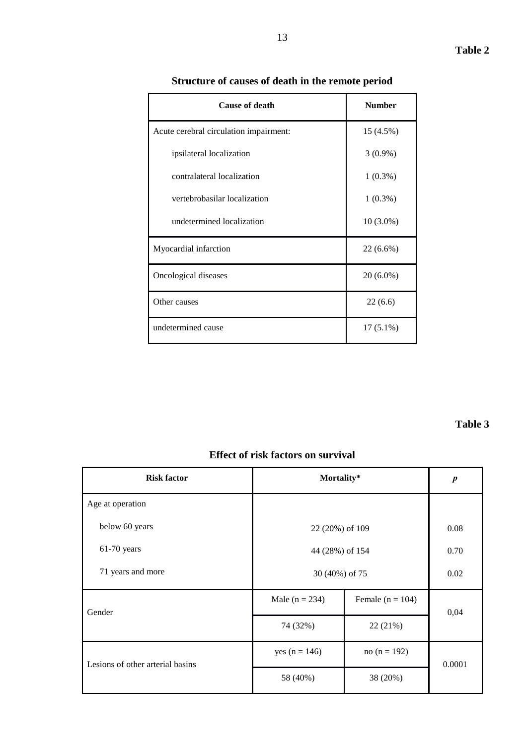| <b>Cause of death</b>                  | <b>Number</b> |
|----------------------------------------|---------------|
| Acute cerebral circulation impairment: | 15 (4.5%)     |
| ipsilateral localization               | $3(0.9\%)$    |
| contralateral localization             | $1(0.3\%)$    |
| vertebrobasilar localization           | $1(0.3\%)$    |
| undetermined localization              | $10(3.0\%)$   |
| Myocardial infarction                  | $22(6.6\%)$   |
| Oncological diseases                   | $20(6.0\%)$   |
| Other causes                           | 22(6.6)       |
| undetermined cause                     | $17(5.1\%)$   |

## **Structure of causes of death in the remote period**

### **Table 3**

### **Effect of risk factors on survival**

| <b>Risk factor</b>               |                  | Mortality*         |        |  |
|----------------------------------|------------------|--------------------|--------|--|
| Age at operation                 |                  |                    |        |  |
| below 60 years                   | 22 (20%) of 109  |                    | 0.08   |  |
| $61-70$ years                    | 44 (28%) of 154  |                    | 0.70   |  |
| 71 years and more                | 30 (40%) of 75   |                    | 0.02   |  |
| Gender                           | Male $(n = 234)$ | Female $(n = 104)$ | 0,04   |  |
|                                  | 74 (32%)         | 22 (21%)           |        |  |
| Lesions of other arterial basins | yes $(n = 146)$  | no (n = 192)       | 0.0001 |  |
|                                  | 58 (40%)         | 38 (20%)           |        |  |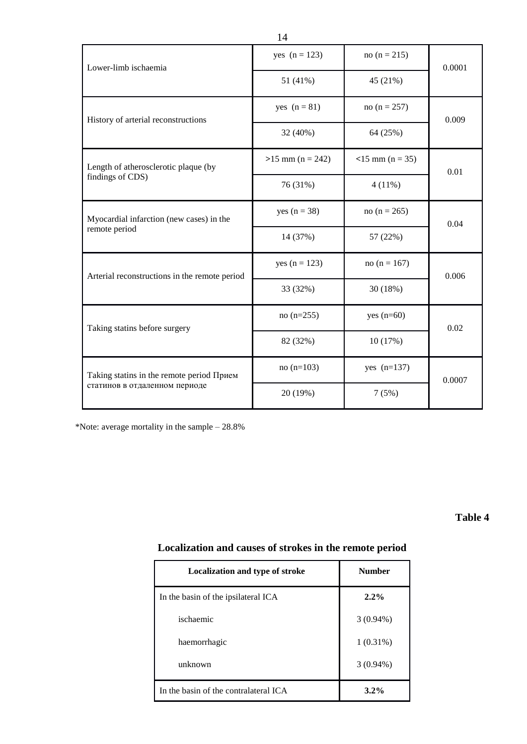| Lower-limb ischaemia                          | yes $(n = 123)$    | no ( $n = 215$ )   | 0.0001 |  |
|-----------------------------------------------|--------------------|--------------------|--------|--|
|                                               | 51 (41%)           | 45 (21%)           |        |  |
| History of arterial reconstructions           | yes $(n = 81)$     | no ( $n = 257$ )   | 0.009  |  |
|                                               | 32 (40%)           | 64 (25%)           |        |  |
| Length of atherosclerotic plaque (by          | $>15$ mm (n = 242) | $<$ 15 mm (n = 35) | 0.01   |  |
| findings of CDS)                              | 76 (31%)           | $4(11\%)$          |        |  |
| Myocardial infarction (new cases) in the      | yes $(n = 38)$     | no (n = 265)       | 0.04   |  |
| remote period                                 | 14 (37%)           | 57 (22%)           |        |  |
| Arterial reconstructions in the remote period | yes $(n = 123)$    | no (n = $167$ )    | 0.006  |  |
|                                               | 33 (32%)           | 30 (18%)           |        |  |
| Taking statins before surgery                 | $no(n=255)$        | yes $(n=60)$       | 0.02   |  |
|                                               | 82 (32%)           | 10 (17%)           |        |  |
| Taking statins in the remote period Прием     | $no(n=103)$        | yes $(n=137)$      | 0.0007 |  |
| статинов в отдаленном периоде                 | 20 (19%)           | 7(5%)              |        |  |

\*Note: average mortality in the sample – 28.8%

### **Table 4**

## **Localization and causes of strokes in the remote period**

| Localization and type of stroke       | <b>Number</b> |
|---------------------------------------|---------------|
| In the basin of the ipsilateral ICA   | $2.2\%$       |
| ischaemic                             | $3(0.94\%)$   |
| haemorrhagic                          | $1(0.31\%)$   |
| unknown                               | $3(0.94\%)$   |
| In the basin of the contralateral ICA | $3.2\%$       |

14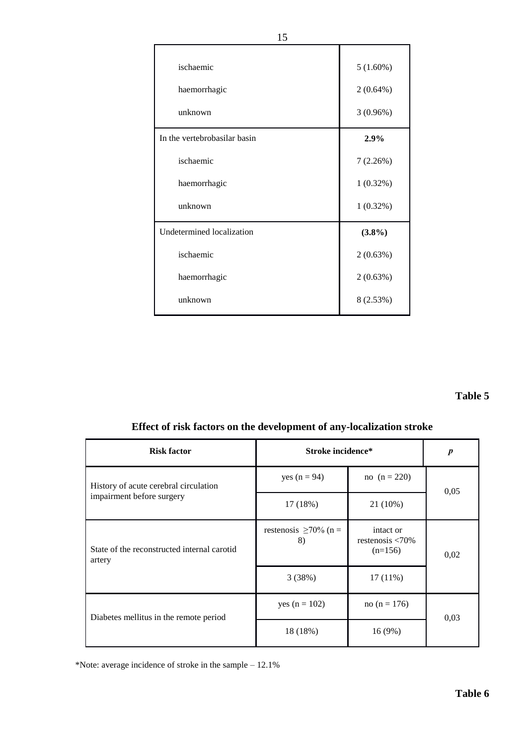| ischaemic                    | 5(1.60%)    |
|------------------------------|-------------|
| haemorrhagic                 | $2(0.64\%)$ |
| unknown                      | 3(0.96%)    |
| In the vertebrobasilar basin | 2.9%        |
| ischaemic                    | 7(2.26%)    |
| haemorrhagic                 | $1(0.32\%)$ |
| unknown                      | $1(0.32\%)$ |
| Undetermined localization    | $(3.8\%)$   |
| ischaemic                    | 2(0.63%)    |
| haemorrhagic                 | 2(0.63%)    |
| unknown                      | 8 (2.53%)   |

### **Table 5**

## **Effect of risk factors on the development of any-localization stroke**

| <b>Risk factor</b>                                    | Stroke incidence*                 | $\boldsymbol{p}$                                    |      |  |
|-------------------------------------------------------|-----------------------------------|-----------------------------------------------------|------|--|
| History of acute cerebral circulation                 | yes $(n = 94)$                    | no $(n = 220)$                                      | 0,05 |  |
| impairment before surgery                             | 17 (18%)                          | $21(10\%)$                                          |      |  |
| State of the reconstructed internal carotid<br>artery | restenosis $\geq 70\%$ (n =<br>8) | intact or<br>restenosis $\langle 70\%$<br>$(n=156)$ | 0,02 |  |
|                                                       | 3(38%)                            | $17(11\%)$                                          |      |  |
| Diabetes mellitus in the remote period                | yes $(n = 102)$                   | no (n = $176$ )                                     | 0.03 |  |
|                                                       | 18 (18%)                          | 16 (9%)                                             |      |  |

\*Note: average incidence of stroke in the sample – 12.1%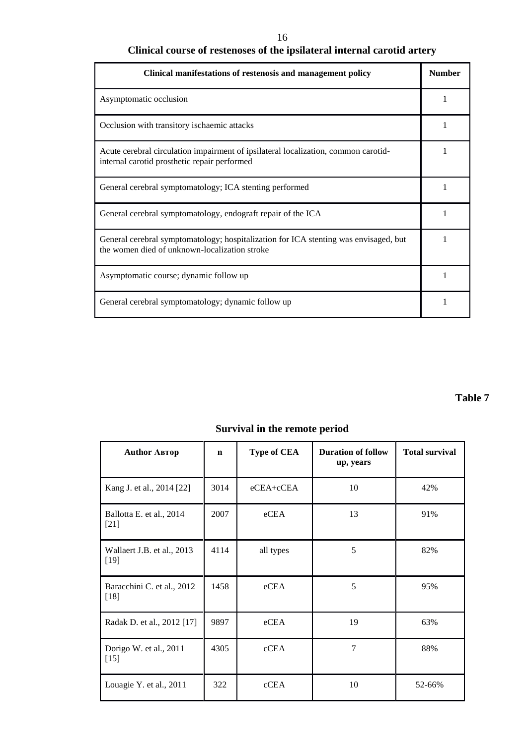### 16

# **Clinical course of restenoses of the ipsilateral internal carotid artery**

| Clinical manifestations of restenosis and management policy                                                                           | <b>Number</b> |
|---------------------------------------------------------------------------------------------------------------------------------------|---------------|
| Asymptomatic occlusion                                                                                                                |               |
| Occlusion with transitory ischaemic attacks                                                                                           |               |
| Acute cerebral circulation impairment of ipsilateral localization, common carotid-<br>internal carotid prosthetic repair performed    |               |
| General cerebral symptomatology; ICA stenting performed                                                                               |               |
| General cerebral symptomatology, endograft repair of the ICA                                                                          |               |
| General cerebral symptomatology; hospitalization for ICA stenting was envisaged, but<br>the women died of unknown-localization stroke |               |
| Asymptomatic course; dynamic follow up                                                                                                |               |
| General cerebral symptomatology; dynamic follow up                                                                                    |               |

## **Table 7**

## **Survival in the remote period**

| <b>Author ABTOP</b>                  | $\mathbf n$ | <b>Type of CEA</b> | <b>Duration of follow</b><br>up, years | <b>Total survival</b> |
|--------------------------------------|-------------|--------------------|----------------------------------------|-----------------------|
| Kang J. et al., 2014 [22]            | 3014        | eCEA+cCEA          | 10                                     | 42%                   |
| Ballotta E. et al., 2014<br>$[21]$   | 2007        | eCEA               | 13                                     | 91%                   |
| Wallaert J.B. et al., 2013<br>$[19]$ | 4114        | all types          | 5                                      | 82%                   |
| Baracchini C. et al., 2012<br>$[18]$ | 1458        | eCEA               | 5                                      | 95%                   |
| Radak D. et al., 2012 [17]           | 9897        | eCEA               | 19                                     | 63%                   |
| Dorigo W. et al., 2011<br>$[15]$     | 4305        | cCEA               | 7                                      | 88%                   |
| Louagie Y. et al., 2011              | 322         | cCEA               | 10                                     | 52-66%                |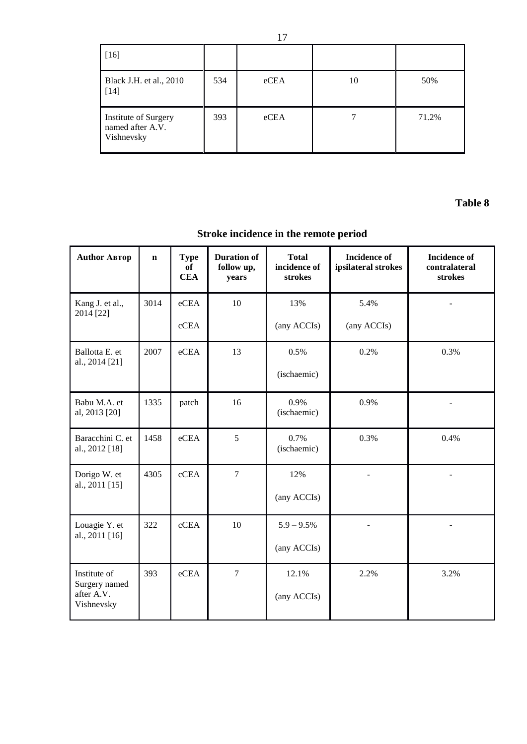| $[16]$                                                 |     |      |    |       |
|--------------------------------------------------------|-----|------|----|-------|
| Black J.H. et al., 2010<br>$[14]$                      | 534 | eCEA | 10 | 50%   |
| Institute of Surgery<br>named after A.V.<br>Vishnevsky | 393 | eCEA |    | 71.2% |

**Table 8** 

# **Stroke incidence in the remote period**

| <b>Author ABTOP</b>                | $\mathbf n$ | <b>Type</b><br>of<br><b>CEA</b> | <b>Duration of</b><br>follow up,<br>years | <b>Total</b><br>incidence of<br>strokes | <b>Incidence</b> of<br>ipsilateral strokes | <b>Incidence</b> of<br>contralateral<br>strokes |
|------------------------------------|-------------|---------------------------------|-------------------------------------------|-----------------------------------------|--------------------------------------------|-------------------------------------------------|
| Kang J. et al.,<br>2014 [22]       | 3014        | eCEA                            | 10                                        | 13%                                     | 5.4%                                       |                                                 |
|                                    |             | cCEA                            |                                           | (any ACCIs)                             | (any ACCIs)                                |                                                 |
| Ballotta E. et<br>al., 2014 [21]   | 2007        | eCEA                            | 13                                        | 0.5%                                    | 0.2%                                       | 0.3%                                            |
|                                    |             |                                 |                                           | (ischaemic)                             |                                            |                                                 |
| Babu M.A. et<br>al, 2013 [20]      | 1335        | patch                           | 16                                        | 0.9%<br>(ischaemic)                     | 0.9%                                       |                                                 |
| Baracchini C. et<br>al., 2012 [18] | 1458        | eCEA                            | 5                                         | 0.7%<br>(ischaemic)                     | 0.3%                                       | 0.4%                                            |
| Dorigo W. et<br>al., 2011 [15]     | 4305        | cCEA                            | $\overline{7}$                            | 12%                                     |                                            |                                                 |
|                                    |             |                                 |                                           | (any ACCIs)                             |                                            |                                                 |
| Louagie Y. et<br>al., 2011 [16]    | 322         | cCEA                            | 10                                        | $5.9 - 9.5\%$                           |                                            |                                                 |
|                                    |             |                                 |                                           | (any ACCIs)                             |                                            |                                                 |
| Institute of<br>Surgery named      | 393         | eCEA                            | $\overline{7}$                            | 12.1%                                   | 2.2%                                       | 3.2%                                            |
| after A.V.<br>Vishnevsky           |             |                                 |                                           | (any ACCIs)                             |                                            |                                                 |

17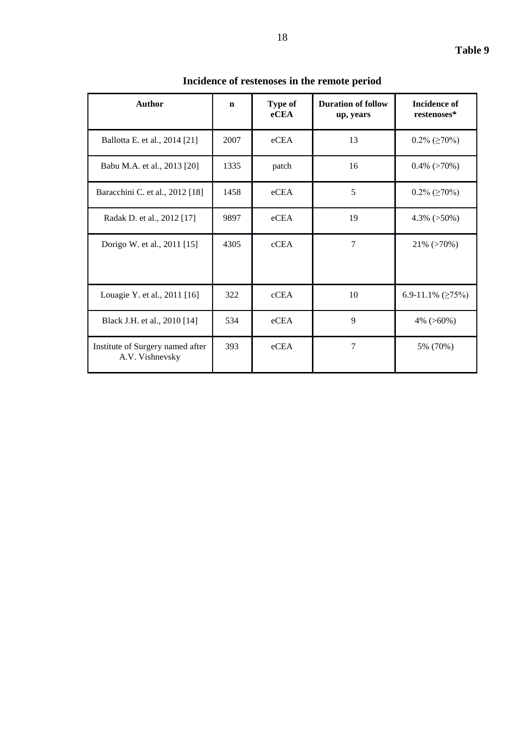| anı<br>١e | ш |
|-----------|---|
|-----------|---|

| <b>Author</b>                                       | $\mathbf n$ | Type of<br>eCEA | <b>Duration of follow</b><br>up, years | <b>Incidence of</b><br>restenoses* |
|-----------------------------------------------------|-------------|-----------------|----------------------------------------|------------------------------------|
| Ballotta E. et al., 2014 [21]                       | 2007        | eCEA            | 13                                     | $0.2\%$ ( $\geq 70\%$ )            |
| Babu M.A. et al., 2013 [20]                         | 1335        | patch           | 16                                     | $0.4\%$ (>70%)                     |
| Baracchini C. et al., 2012 [18]                     | 1458        | eCEA            | 5                                      | $0.2\%$ ( $\geq 70\%$ )            |
| Radak D. et al., 2012 [17]                          | 9897        | eCEA            | 19                                     | $4.3\%$ ( $>50\%$ )                |
| Dorigo W. et al., 2011 [15]                         | 4305        | cCEA            | $\overline{7}$                         | $21\%$ ( $>70\%$ )                 |
| Louagie Y. et al., 2011 [16]                        | 322         | cCEA            | 10                                     | 6.9-11.1% ( $\geq$ 75%)            |
| Black J.H. et al., 2010 [14]                        | 534         | eCEA            | $\mathbf{Q}$                           | 4% $(>60\%)$                       |
| Institute of Surgery named after<br>A.V. Vishnevsky | 393         | eCEA            | 7                                      | 5% (70%)                           |

**Incidence of restenoses in the remote period**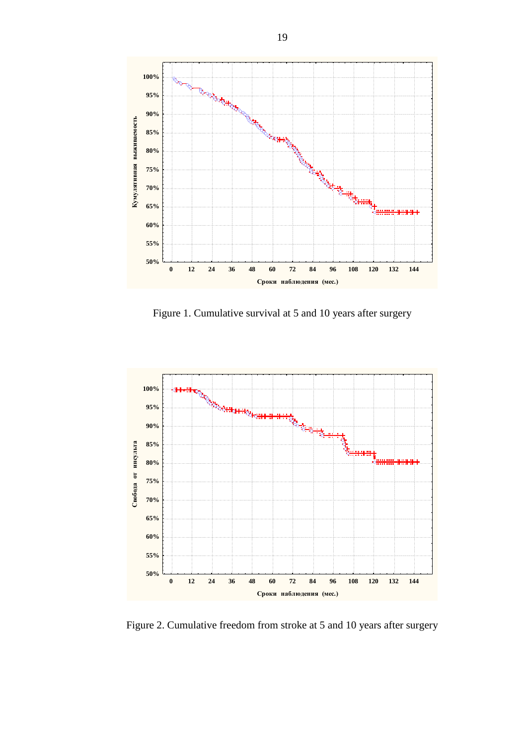

Figure 1. Cumulative survival at 5 and 10 years after surgery



Figure 2. Cumulative freedom from stroke at 5 and 10 years after surgery

19